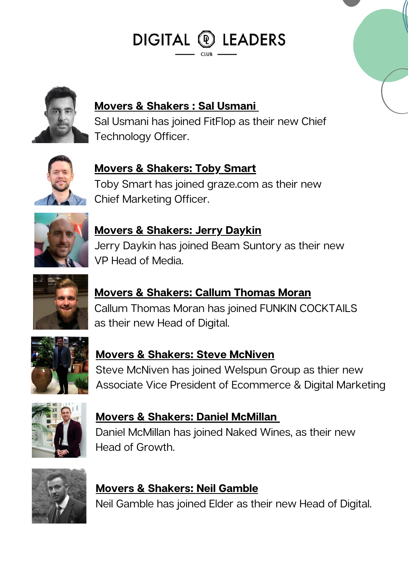DIGITAL <sup>®</sup> LEADERS



#### **Movers & [Shakers](https://www.linkedin.com/in/sal-usmani-728b443/) : Sal Usmani**

Sal Usmani has joined FitFlop as their new Chief Technology Officer.



**Movers & [Shakers:](https://www.linkedin.com/in/tobysmart/) Toby Smart** Toby Smart has joined graze.com as their new Chief Marketing Officer.



**Movers & [Shakers:](https://www.linkedin.com/in/jdaykin/) Jerry Daykin** Jerry Daykin has joined Beam Suntory as their new VP Head of Media.



**Movers & [Shakers:](https://www.linkedin.com/in/jdaykin/) Callum Thomas Moran** Callum Thomas Moran has joined FUNKIN COCKTAILS as their new Head of Digital.



**Movers & [Shakers:](https://www.linkedin.com/in/steve-mcniven/) Steve McNiven** Steve McNiven has joined Welspun Group as thier new Associate Vice President of Ecommerce & Digital Marketing



**Movers & [Shakers:](https://www.linkedin.com/in/dan-mcmillan/) Daniel McMilla[n](https://www.linkedin.com/in/dan-mcmillan/)** Daniel McMillan has joined Naked Wines, as their new Head of Growth.



## **Movers & [Shakers:](https://www.linkedin.com/in/neil-gamble-1aa16342/) Neil Gamble**

Neil Gamble has joined Elder as their new Head of Digital.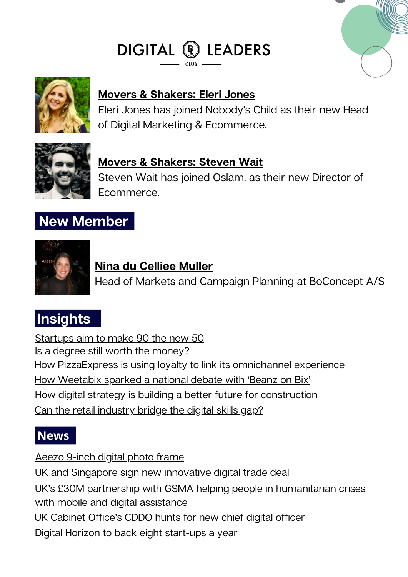# DIGITAL @ LEADERS



### **Movers & [Shakers:](https://www.linkedin.com/in/eleri-jones-03b39541/) Eleri Jones**

Eleri Jones has joined Nobody's Child as their new Head of Digital Marketing & Ecommerce.



#### **Movers & [Shakers:](https://www.linkedin.com/in/steven-wait-02973774/) Steven Wait**

Steven Wait has joined Oslam. as their new Director of Ecommerce.

# **New Member**



#### **[Ni](https://www.linkedin.com/in/georgina-drew-137b7014/?originalSubdomain=uk)na du [Celliee](https://www.linkedin.com/in/georgina-drew-137b7014/?originalSubdomain=uk) Muller**

Head of Markets and Campaign Planning at BoConcept A/S

# **Insights**

[Startups](https://www.linkedin.com/news/story/startups-aim-to-make-90-the-new-50-4684225/) aim to make 90 the new 50 Is a degree still worth the [money?](https://www.linkedin.com/news/story/is-a-degree-still-worth-the-money-5252204/) How [PizzaExpress](https://www.marketingweek.com/pizzaexpress-loyalty-omnichannel-experience/) is using loyalty to link its omnichannel experience How [Weetabix](https://www.marketingweek.com/masters-awards-weetabix/) sparked a national debate with 'Beanz on Bix' How digital strategy is building a better future for [construction](https://www.itpro.co.uk/software/digitisation/364111/how-digital-strategy-is-building-a-better-future-for-construction) Can the retail [industry](https://www.raconteur.net/hr/retail-bridge-digital-skills-gap/) bridge the digital skills gap?

## **News**

[Aeezo](https://www.digitalcameraworld.com/reviews/aeezo-9-inch-digital-photo-frame) 9-inch digital photo frame UK and Singapore sign new [innovative](https://www.gov.uk/government/news/uk-and-singapore-sign-new-innovative-digital-trade-deal) digital trade deal UK's £30M partnership with GSMA helping people in [humanitarian](https://www.gov.uk/government/news/uks-30m-partnership-with-gsma-helping-people-in-humanitarian-crises-with-mobile-and-digital-assistance) crises with mobile and digital assistance UK [Cabinet](https://www.cio.com/article/305643/cabinet-offices-cddo-hunts-for-new-chief-digital-officer.html) Office's CDDO hunts for new chief digital officer Digital Horizon to back eight [start-ups](https://www.growthbusiness.co.uk/digital-horizon-to-back-eight-start-ups-a-year-2560047/) a year